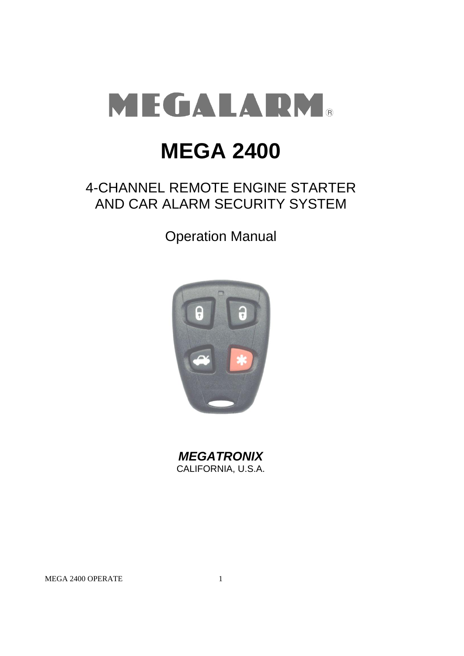

# **MEGA 2400**

# 4-CHANNEL REMOTE ENGINE STARTER AND CAR ALARM SECURITY SYSTEM

Operation Manual



*MEGATRONIX* CALIFORNIA, U.S.A.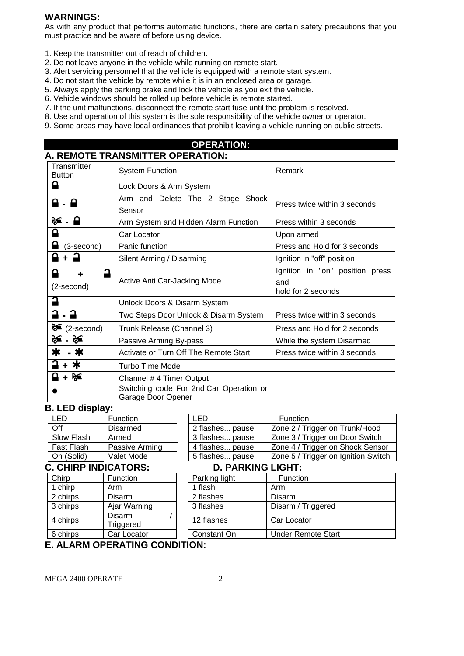#### **WARNINGS:**

As with any product that performs automatic functions, there are certain safety precautions that you must practice and be aware of before using device.

- 1. Keep the transmitter out of reach of children.
- 2. Do not leave anyone in the vehicle while running on remote start.
- 3. Alert servicing personnel that the vehicle is equipped with a remote start system.
- 4. Do not start the vehicle by remote while it is in an enclosed area or garage.
- 5. Always apply the parking brake and lock the vehicle as you exit the vehicle.
- 6. Vehicle windows should be rolled up before vehicle is remote started.
- 7. If the unit malfunctions, disconnect the remote start fuse until the problem is resolved.
- 8. Use and operation of this system is the sole responsibility of the vehicle owner or operator.
- 9. Some areas may have local ordinances that prohibit leaving a vehicle running on public streets.

#### **OPERATION: A. REMOTE TRANSMITTER OPERATION: Transmitter** Button System Function Remark ہ Lock Doors & Arm System Arm and Delete The 2 Stage Shock **-** Press twice within 3 seconds Sensor **<sup>1</sup>** Arm System and Hidden Alarm Function Press within 3 seconds ρ Car Locator **Car Locator Upon armed** (3-second) Panic function Press and Hold for 3 seconds **+ a** Silent Arming / Disarming Ignition in "off" position Ignition in "on" position press  $\mathbf{a}$ **+**  Active Anti Car-Jacking Mode and (2-second) hold for 2 seconds ŕ Unlock Doors & Disarm System Two Steps Door Unlock & Disarm System | Press twice within 3 seconds  $\mathcal{E}$  (2-second) Trunk Release (Channel 3) Press and Hold for 2 seconds **26** - **26** Passive Arming By-pass While the system Disarmed

| ≭ ⊥ ≭     | Activate or Turn Off The Remote Start                         | Press twice within 3 seconds |
|-----------|---------------------------------------------------------------|------------------------------|
| $-2 + *$  | Turbo Time Mode                                               |                              |
| $A + B^2$ | Channel #4 Timer Output                                       |                              |
|           | Switching code For 2nd Car Operation or<br>Garage Door Opener |                              |

#### **B. LED display:**

| I FD       | Function       |
|------------|----------------|
| ∩ff        | Disarmed       |
| Slow Flash | Armed          |
| Fast Flash | Passive Arming |
| On (Solid) | Valet Mode     |

#### LED **Function** 2 flashes... pause | Zone 2 / Trigger on Trunk/Hood 3 flashes... pause | Zone 3 / Trigger on Door Switch 4 flashes pause 7 one 4 / Trigger on Shock Sensor On (Solid) | Valet Mode | | 5 flashes... pause | Zone 5 / Trigger on Ignition Switch

# **C. CHIRP INDICATORS:**

| Chirp                                  | Function            | Parking light | Function         |  |  |
|----------------------------------------|---------------------|---------------|------------------|--|--|
| 1 chirp                                | Arm                 | 1 flash       | Arm              |  |  |
| 2 chirps                               | Disarm              | 2 flashes     | Disarm           |  |  |
| 3 chirps                               | Ajar Warning        | 3 flashes     | Disarm / Ti      |  |  |
| 4 chirps                               | Disarm<br>Triggered | 12 flashes    | Car Locato       |  |  |
| 6 chirps                               | Car Locator         | Constant On   | <b>Under Ren</b> |  |  |
| <b>F. AL ADM ODED ATING CONDITION.</b> |                     |               |                  |  |  |

| ו נטשו ו נטש        |                 | T HUJHUJ PUUJU           | <b>LUID T/ HIGGUI UILUIDUN UUILUU</b> |  |
|---------------------|-----------------|--------------------------|---------------------------------------|--|
| On (Solid)          | Valet Mode      | 5 flashes pause          | Zone 5 / Trigger on Ignition Switch   |  |
| . CHIRP INDICATORS: |                 | <b>D. PARKING LIGHT:</b> |                                       |  |
| Chirp               | <b>Function</b> | Parking light            | <b>Function</b>                       |  |
| 1 chirp             | Arm             | 1 flash                  | Arm                                   |  |
| 2 chirps            | Disarm          | 2 flashes                | <b>Disarm</b>                         |  |
| 3 chirps            | Ajar Warning    | 3 flashes                | Disarm / Triggered                    |  |
|                     |                 |                          |                                       |  |

# **E. ALARM OPERATING CONDITION:**

Constant On Under Remote Start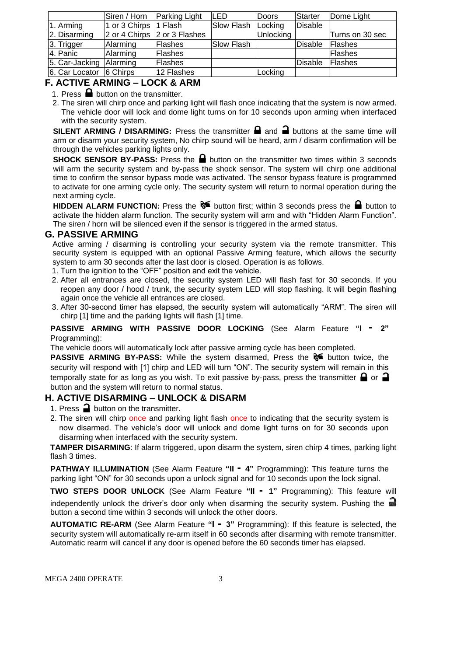|                         | Siren / Horn    | <b>Parking Light</b>         | LED        | Doors     | Starter        | Dome Light      |
|-------------------------|-----------------|------------------------------|------------|-----------|----------------|-----------------|
| 1. Arming               | 1 or 3 Chirps   | <sup>1</sup> Flash           | Slow Flash | Locking   | Disable        |                 |
| 2. Disarming            |                 | 2 or 4 Chirps 2 or 3 Flashes |            | Unlocking |                | Turns on 30 sec |
| 3. Trigger              | Alarming        | <b>Flashes</b>               | Slow Flash |           | <b>Disable</b> | <b>Flashes</b>  |
| 4. Panic                | Alarming        | Flashes                      |            |           |                | <b>IFlashes</b> |
| 5. Car-Jacking Alarming |                 | <b>Flashes</b>               |            |           | Disable        | <b>IFlashes</b> |
| 6. Car Locator          | <b>6 Chirps</b> | 12 Flashes                   |            | Locking   |                |                 |

# **F. ACTIVE ARMING – LOCK & ARM**

1. Press  $\blacksquare$  button on the transmitter.

2. The siren will chirp once and parking light will flash once indicating that the system is now armed. The vehicle door will lock and dome light turns on for 10 seconds upon arming when interfaced with the security system.

**SILENT ARMING / DISARMING:** Press the transmitter  $\blacksquare$  and  $\blacksquare$  buttons at the same time will arm or disarm your security system, No chirp sound will be heard, arm / disarm confirmation will be through the vehicles parking lights only.

**SHOCK SENSOR BY-PASS:** Press the **a** button on the transmitter two times within 3 seconds will arm the security system and by-pass the shock sensor. The system will chirp one additional time to confirm the sensor bypass mode was activated. The sensor bypass feature is programmed to activate for one arming cycle only. The security system will return to normal operation during the next arming cycle.

**HIDDEN ALARM FUNCTION:** Press the  $\delta$  button first; within 3 seconds press the **button to** activate the hidden alarm function. The security system will arm and with "Hidden Alarm Function". The siren / horn will be silenced even if the sensor is triggered in the armed status.

#### **G. PASSIVE ARMING**

Active arming / disarming is controlling your security system via the remote transmitter. This security system is equipped with an optional Passive Arming feature, which allows the security system to arm 30 seconds after the last door is closed. Operation is as follows.

- 1. Turn the ignition to the "OFF" position and exit the vehicle.
- 2. After all entrances are closed, the security system LED will flash fast for 30 seconds. If you reopen any door / hood / trunk, the security system LED will stop flashing. It will begin flashing again once the vehicle all entrances are closed.
- 3. After 30-second timer has elapsed, the security system will automatically "ARM". The siren will chirp [1] time and the parking lights will flash [1] time.

#### **PASSIVE ARMING WITH PASSIVE DOOR LOCKING** (See Alarm Feature **"I - 2"**  Programming):

The vehicle doors will automatically lock after passive arming cycle has been completed.

**PASSIVE ARMING BY-PASS:** While the system disarmed, Press the **button twice**, the security will respond with [1] chirp and LED will turn "ON". The security system will remain in this temporally state for as long as you wish. To exit passive by-pass, press the transmitter  $\bigcap$  or  $\bigcap$ button and the system will return to normal status.

# **H. ACTIVE DISARMING – UNLOCK & DISARM**

- 1. Press  $\rightarrow$  button on the transmitter.
- 2. The siren will chirp once and parking light flash once to indicating that the security system is now disarmed. The vehicle's door will unlock and dome light turns on for 30 seconds upon disarming when interfaced with the security system.

**TAMPER DISARMING**: If alarm triggered, upon disarm the system, siren chirp 4 times, parking light flash 3 times.

**PATHWAY ILLUMINATION** (See Alarm Feature **"II - 4"** Programming): This feature turns the parking light "ON" for 30 seconds upon a unlock signal and for 10 seconds upon the lock signal.

**TWO STEPS DOOR UNLOCK** (See Alarm Feature **"II - 1"** Programming): This feature will independently unlock the driver's door only when disarming the security system. Pushing the button a second time within 3 seconds will unlock the other doors.

**AUTOMATIC RE-ARM** (See Alarm Feature **"I - 3"** Programming): If this feature is selected, the security system will automatically re-arm itself in 60 seconds after disarming with remote transmitter. Automatic rearm will cancel if any door is opened before the 60 seconds timer has elapsed.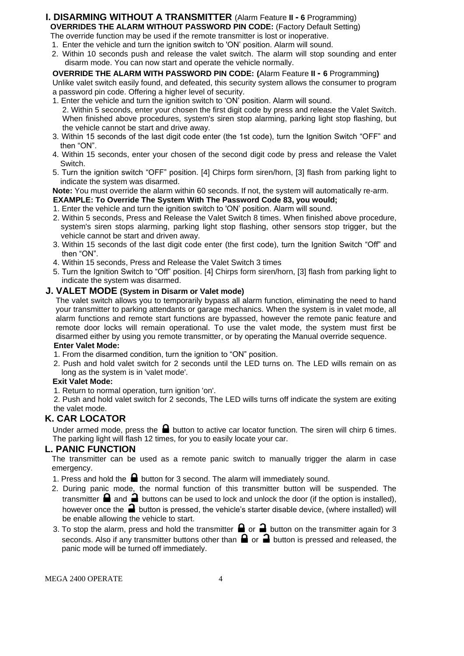# **I. DISARMING WITHOUT A TRANSMITTER** (Alarm Feature **II - 6** Programming) **OVERRIDES THE ALARM WITHOUT PASSWORD PIN CODE:** (Factory Default Setting)

The override function may be used if the remote transmitter is lost or inoperative. 1. Enter the vehicle and turn the ignition switch to 'ON' position. Alarm will sound.

2. Within 10 seconds push and release the valet switch. The alarm will stop sounding and enter disarm mode. You can now start and operate the vehicle normally.

#### **OVERRIDE THE ALARM WITH PASSWORD PIN CODE: (**Alarm Feature **II - 6** Programming**)** Unlike valet switch easily found, and defeated, this security system allows the consumer to program

a password pin code. Offering a higher level of security. 1. Enter the vehicle and turn the ignition switch to 'ON' position. Alarm will sound.

- 2. Within 5 seconds, enter your chosen the first digit code by press and release the Valet Switch. When finished above procedures, system's siren stop alarming, parking light stop flashing, but the vehicle cannot be start and drive away.
- 3. Within 15 seconds of the last digit code enter (the 1st code), turn the Ignition Switch "OFF" and then "ON".
- 4. Within 15 seconds, enter your chosen of the second digit code by press and release the Valet Switch.
- 5. Turn the ignition switch "OFF" position. [4] Chirps form siren/horn, [3] flash from parking light to indicate the system was disarmed.

**Note:** You must override the alarm within 60 seconds. If not, the system will automatically re-arm.

- **EXAMPLE: To Override The System With The Password Code 83, you would;**
- 1. Enter the vehicle and turn the ignition switch to 'ON' position. Alarm will sound.
- 2. Within 5 seconds, Press and Release the Valet Switch 8 times. When finished above procedure, system's siren stops alarming, parking light stop flashing, other sensors stop trigger, but the vehicle cannot be start and driven away.
- 3. Within 15 seconds of the last digit code enter (the first code), turn the Ignition Switch "Off" and then "ON".
- 4. Within 15 seconds, Press and Release the Valet Switch 3 times
- 5. Turn the Ignition Switch to "Off" position. [4] Chirps form siren/horn, [3] flash from parking light to indicate the system was disarmed.

#### **J. VALET MODE (System in Disarm or Valet mode)**

The valet switch allows you to temporarily bypass all alarm function, eliminating the need to hand your transmitter to parking attendants or garage mechanics. When the system is in valet mode, all alarm functions and remote start functions are bypassed, however the remote panic feature and remote door locks will remain operational. To use the valet mode, the system must first be disarmed either by using you remote transmitter, or by operating the Manual override sequence.

#### **Enter Valet Mode:**

- 1. From the disarmed condition, turn the ignition to "ON" position.
- 2. Push and hold valet switch for 2 seconds until the LED turns on. The LED wills remain on as long as the system is in 'valet mode'.

#### **Exit Valet Mode:**

1. Return to normal operation, turn ignition 'on'.

2. Push and hold valet switch for 2 seconds, The LED wills turns off indicate the system are exiting the valet mode.

# **K. CAR LOCATOR**

Under armed mode, press the  $\blacksquare$  button to active car locator function. The siren will chirp 6 times. The parking light will flash 12 times, for you to easily locate your car.

#### **L. PANIC FUNCTION**

The transmitter can be used as a remote panic switch to manually trigger the alarm in case emergency.

- 1. Press and hold the  $\blacksquare$  button for 3 second. The alarm will immediately sound.
- 2. During panic mode, the normal function of this transmitter button will be suspended. The transmitter  $\blacksquare$  and  $\blacksquare$  buttons can be used to lock and unlock the door (if the option is installed), however once the  $\Box$  button is pressed, the vehicle's starter disable device, (where installed) will be enable allowing the vehicle to start.
- 3. To stop the alarm, press and hold the transmitter  $\Box$  or  $\Box$  button on the transmitter again for 3 seconds. Also if any transmitter buttons other than  $\bigoplus$  or  $\bigoplus$  button is pressed and released, the panic mode will be turned off immediately.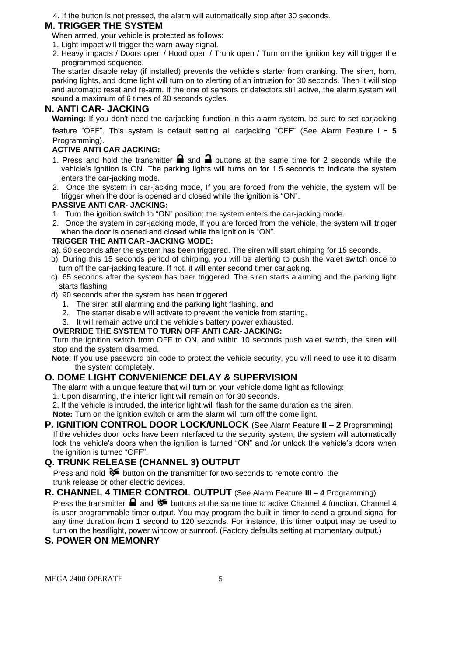4. If the button is not pressed, the alarm will automatically stop after 30 seconds.

# **M. TRIGGER THE SYSTEM**

- When armed, your vehicle is protected as follows:
- 1. Light impact will trigger the warn-away signal.
- 2. Heavy impacts / Doors open / Hood open / Trunk open / Turn on the ignition key will trigger the programmed sequence.

The starter disable relay (if installed) prevents the vehicle's starter from cranking. The siren, horn, parking lights, and dome light will turn on to alerting of an intrusion for 30 seconds. Then it will stop and automatic reset and re-arm. If the one of sensors or detectors still active, the alarm system will sound a maximum of 6 times of 30 seconds cycles.

# **N. ANTI CAR- JACKING**

**Warning:** If you don't need the carjacking function in this alarm system, be sure to set carjacking

feature "OFF". This system is default setting all carjacking "OFF" (See Alarm Feature **I - 5**  Programming).

### **ACTIVE ANTI CAR JACKING:**

- 1. Press and hold the transmitter  $\blacksquare$  and  $\blacksquare$  buttons at the same time for 2 seconds while the vehicle's ignition is ON. The parking lights will turns on for 1.5 seconds to indicate the system enters the car-jacking mode.
- 2. Once the system in car-jacking mode, If you are forced from the vehicle, the system will be trigger when the door is opened and closed while the ignition is "ON".

#### **PASSIVE ANTI CAR- JACKING:**

- 1. Turn the ignition switch to "ON" position; the system enters the car-jacking mode.
- 2. Once the system in car-jacking mode, If you are forced from the vehicle, the system will trigger when the door is opened and closed while the ignition is "ON".

#### **TRIGGER THE ANTI CAR -JACKING MODE:**

- a). 50 seconds after the system has been triggered. The siren will start chirping for 15 seconds.
- b). During this 15 seconds period of chirping, you will be alerting to push the valet switch once to turn off the car-jacking feature. If not, it will enter second timer carjacking.
- c). 65 seconds after the system has beer triggered. The siren starts alarming and the parking light starts flashing.
- d). 90 seconds after the system has been triggered
	- 1. The siren still alarming and the parking light flashing, and
	- 2. The starter disable will activate to prevent the vehicle from starting.
	- 3. It will remain active until the vehicle's battery power exhausted.

#### **OVERRIDE THE SYSTEM TO TURN OFF ANTI CAR- JACKING:**

Turn the ignition switch from OFF to ON, and within 10 seconds push valet switch, the siren will stop and the system disarmed.

**Note**: If you use password pin code to protect the vehicle security, you will need to use it to disarm the system completely.

# **O. DOME LIGHT CONVENIENCE DELAY & SUPERVISION**

The alarm with a unique feature that will turn on your vehicle dome light as following:

- 1. Upon disarming, the interior light will remain on for 30 seconds.
- 2. If the vehicle is intruded, the interior light will flash for the same duration as the siren.

**Note:** Turn on the ignition switch or arm the alarm will turn off the dome light.

**P. IGNITION CONTROL DOOR LOCK/UNLOCK** (See Alarm Feature **II – 2** Programming) If the vehicles door locks have been interfaced to the security system, the system will automatically lock the vehicle's doors when the ignition is turned "ON" and /or unlock the vehicle's doors when the ignition is turned "OFF".

# **Q. TRUNK RELEASE (CHANNEL 3) OUTPUT**

Press and hold  $\delta$  button on the transmitter for two seconds to remote control the trunk release or other electric devices.

**R. CHANNEL 4 TIMER CONTROL OUTPUT** (See Alarm Feature **III – 4** Programming) Press the transmitter  $\blacksquare$  and  $\blacklozenge \blacksquare$  buttons at the same time to active Channel 4 function. Channel 4 is user-programmable timer output. You may program the built-in timer to send a ground signal for any time duration from 1 second to 120 seconds. For instance, this timer output may be used to turn on the headlight, power window or sunroof. (Factory defaults setting at momentary output.)

# **S. POWER ON MEMONRY**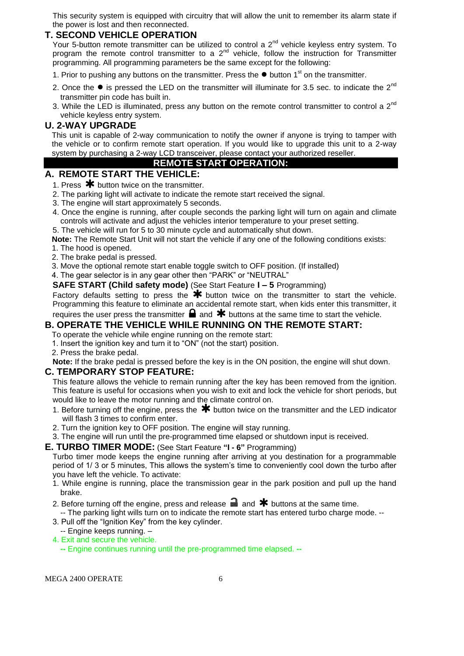This security system is equipped with circuitry that will allow the unit to remember its alarm state if the power is lost and then reconnected.

# **T. SECOND VEHICLE OPERATION**

Your 5-button remote transmitter can be utilized to control a  $2^{nd}$  vehicle keyless entry system. To program the remote control transmitter to a  $2^{nd}$  vehicle, follow the instruction for Transmitter programming. All programming parameters be the same except for the following:

- 1. Prior to pushing any buttons on the transmitter. Press the **●** button 1st on the transmitter.
- 2. Once the  $\bullet$  is pressed the LED on the transmitter will illuminate for 3.5 sec. to indicate the  $2^{nd}$ transmitter pin code has built in.
- 3. While the LED is illuminated, press any button on the remote control transmitter to control a  $2^{nd}$ vehicle keyless entry system.

#### **U. 2-WAY UPGRADE**

This unit is capable of 2-way communication to notify the owner if anyone is trying to tamper with the vehicle or to confirm remote start operation. If you would like to upgrade this unit to a 2-way system by purchasing a 2-way LCD transceiver, please contact your authorized reseller.

# **REMOTE START OPERATION:**

#### **A. REMOTE START THE VEHICLE:**

1. Press  $*$  button twice on the transmitter.

- 2. The parking light will activate to indicate the remote start received the signal.
- 3. The engine will start approximately 5 seconds.
- 4. Once the engine is running, after couple seconds the parking light will turn on again and climate controls will activate and adjust the vehicles interior temperature to your preset setting.
- 5. The vehicle will run for 5 to 30 minute cycle and automatically shut down.

**Note:** The Remote Start Unit will not start the vehicle if any one of the following conditions exists:

- 1. The hood is opened.
- 2. The brake pedal is pressed.
- 3. Move the optional remote start enable toggle switch to OFF position. (If installed)
- 4. The gear selector is in any gear other then "PARK" or "NEUTRAL"

**SAFE START (Child safety mode)** (See Start Feature **I – 5** Programming)

Factory defaults setting to press the  $\bigstar$  button twice on the transmitter to start the vehicle. Programming this feature to eliminate an accidental remote start, when kids enter this transmitter, it requires the user press the transmitter  $\blacksquare$  and  $\clubsuit$  buttons at the same time to start the vehicle.

# **B. OPERATE THE VEHICLE WHILE RUNNING ON THE REMOTE START:**

- To operate the vehicle while engine running on the remote start:
- 1. Insert the ignition key and turn it to "ON" (not the start) position.
- 2. Press the brake pedal.

**Note:** If the brake pedal is pressed before the key is in the ON position, the engine will shut down.

#### **C. TEMPORARY STOP FEATURE:**

This feature allows the vehicle to remain running after the key has been removed from the ignition. This feature is useful for occasions when you wish to exit and lock the vehicle for short periods, but would like to leave the motor running and the climate control on.

- 1. Before turning off the engine, press the  $*$  button twice on the transmitter and the LED indicator will flash 3 times to confirm enter.
- 2. Turn the ignition key to OFF position. The engine will stay running.
- 3. The engine will run until the pre-programmed time elapsed or shutdown input is received.

#### **E. TURBO TIMER MODE:** (See Start Feature **"I - 6"** Programming)

Turbo timer mode keeps the engine running after arriving at you destination for a programmable period of 1/ 3 or 5 minutes, This allows the system's time to conveniently cool down the turbo after you have left the vehicle. To activate:

- 1. While engine is running, place the transmission gear in the park position and pull up the hand brake.
- 2. Before turning off the engine, press and release  $\blacksquare$  and  $\blacktriangleright$  buttons at the same time.
- -- The parking light wills turn on to indicate the remote start has entered turbo charge mode. -- 3. Pull off the "Ignition Key" from the key cylinder.
- -- Engine keeps running. –
- 4. Exit and secure the vehicle.
	- **--** Engine continues running until the pre-programmed time elapsed. **--**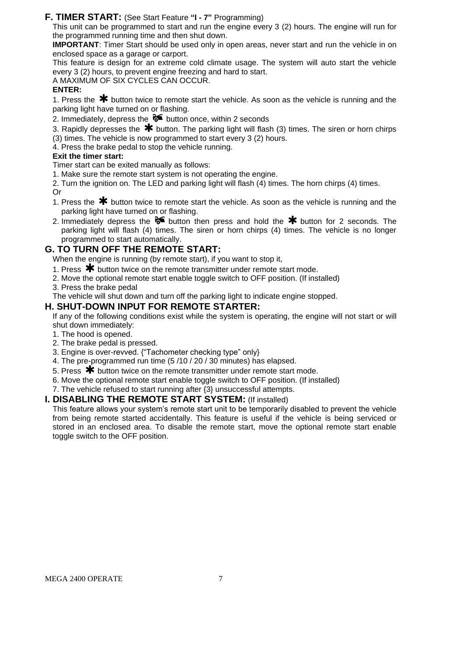#### **F. TIMER START:** (See Start Feature **"I - 7"** Programming)

This unit can be programmed to start and run the engine every 3 (2) hours. The engine will run for the programmed running time and then shut down.

**IMPORTANT**: Timer Start should be used only in open areas, never start and run the vehicle in on enclosed space as a garage or carport.

This feature is design for an extreme cold climate usage. The system will auto start the vehicle every 3 (2) hours, to prevent engine freezing and hard to start.

A MAXIMUM OF SIX CYCLES CAN OCCUR.

#### **ENTER:**

1. Press the  $*$  button twice to remote start the vehicle. As soon as the vehicle is running and the parking light have turned on or flashing.

2. Immediately, depress the  $\delta$  button once, within 2 seconds

3. Rapidly depresses the  $*$  button. The parking light will flash (3) times. The siren or horn chirps (3) times. The vehicle is now programmed to start every 3 (2) hours.

4. Press the brake pedal to stop the vehicle running.

#### **Exit the timer start:**

Timer start can be exited manually as follows:

1. Make sure the remote start system is not operating the engine.

2. Turn the ignition on. The LED and parking light will flash (4) times. The horn chirps (4) times. Or

- 1. Press the  $*$  button twice to remote start the vehicle. As soon as the vehicle is running and the parking light have turned on or flashing.
- 2. Immediately depress the  $\mathcal{F}$  button then press and hold the  $\mathcal{\textbf{F}}$  button for 2 seconds. The parking light will flash (4) times. The siren or horn chirps (4) times. The vehicle is no longer programmed to start automatically.

# **G. TO TURN OFF THE REMOTE START:**

When the engine is running (by remote start), if you want to stop it,

- 1. Press  $\bigstar$  button twice on the remote transmitter under remote start mode.
- 2. Move the optional remote start enable toggle switch to OFF position. (If installed)
- 3. Press the brake pedal

The vehicle will shut down and turn off the parking light to indicate engine stopped.

#### **H. SHUT-DOWN INPUT FOR REMOTE STARTER:**

If any of the following conditions exist while the system is operating, the engine will not start or will shut down immediately:

- 1. The hood is opened.
- 2. The brake pedal is pressed.
- 3. Engine is over-revved. {"Tachometer checking type" only}
- 4. The pre-programmed run time (5 /10 / 20 / 30 minutes) has elapsed.
- 5. Press  $\bigstar$  button twice on the remote transmitter under remote start mode.
- 6. Move the optional remote start enable toggle switch to OFF position. (If installed)

7. The vehicle refused to start running after {3} unsuccessful attempts.

#### **I. DISABLING THE REMOTE START SYSTEM:** (If installed)

This feature allows your system's remote start unit to be temporarily disabled to prevent the vehicle from being remote started accidentally. This feature is useful if the vehicle is being serviced or stored in an enclosed area. To disable the remote start, move the optional remote start enable toggle switch to the OFF position.